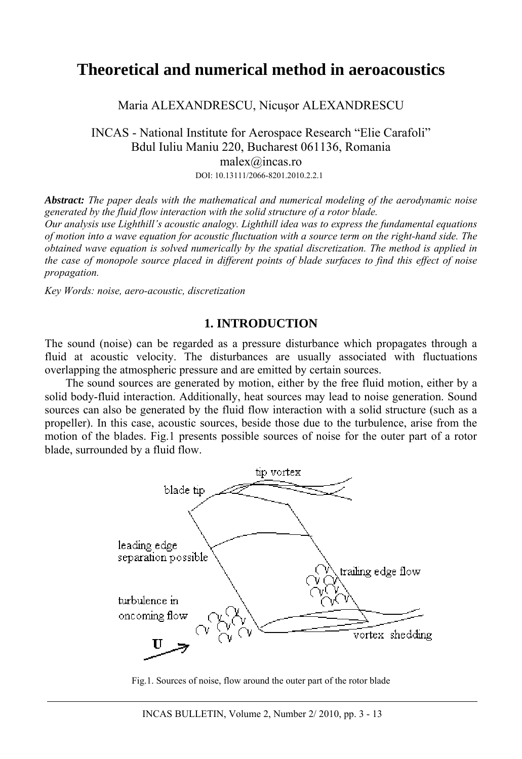# **Theoretical and numerical method in aeroacoustics**

Maria ALEXANDRESCU, Nicuşor ALEXANDRESCU

INCAS - National Institute for Aerospace Research "Elie Carafoli" Bdul Iuliu Maniu 220, Bucharest 061136, Romania malex@incas.ro DOI: 10.13111/2066-8201.2010.2.2.1

*Abstract: The paper deals with the mathematical and numerical modeling of the aerodynamic noise generated by the fluid flow interaction with the solid structure of a rotor blade. Our analysis use Lighthill's acoustic analogy. Lighthill idea was to express the fundamental equations of motion into a wave equation for acoustic fluctuation with a source term on the right-hand side. The obtained wave equation is solved numerically by the spatial discretization. The method is applied in the case of monopole source placed in different points of blade surfaces to find this effect of noise propagation.*

*Key Words: noise, aero-acoustic, discretization* 

## **1. INTRODUCTION**

The sound (noise) can be regarded as a pressure disturbance which propagates through a fluid at acoustic velocity. The disturbances are usually associated with fluctuations overlapping the atmospheric pressure and are emitted by certain sources.

The sound sources are generated by motion, either by the free fluid motion, either by a solid body-fluid interaction. Additionally, heat sources may lead to noise generation. Sound sources can also be generated by the fluid flow interaction with a solid structure (such as a propeller). In this case, acoustic sources, beside those due to the turbulence, arise from the motion of the blades. Fig.1 presents possible sources of noise for the outer part of a rotor blade, surrounded by a fluid flow.



Fig.1. Sources of noise, flow around the outer part of the rotor blade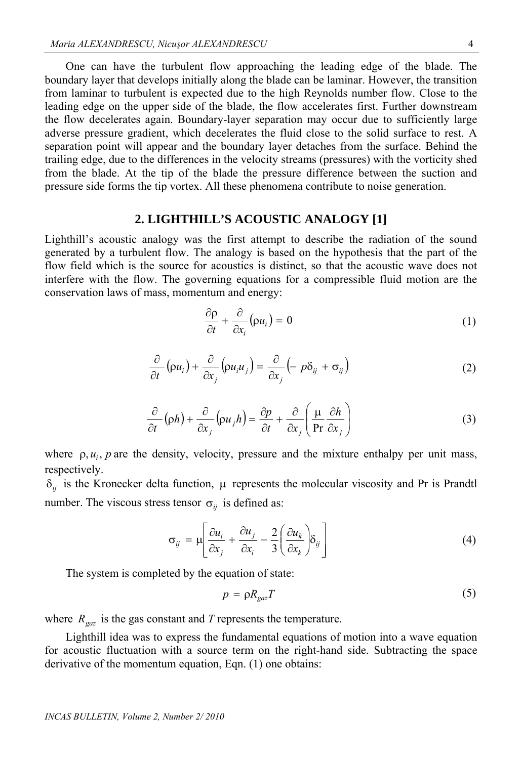One can have the turbulent flow approaching the leading edge of the blade. The boundary layer that develops initially along the blade can be laminar. However, the transition from laminar to turbulent is expected due to the high Reynolds number flow. Close to the leading edge on the upper side of the blade, the flow accelerates first. Further downstream the flow decelerates again. Boundary-layer separation may occur due to sufficiently large adverse pressure gradient, which decelerates the fluid close to the solid surface to rest. A separation point will appear and the boundary layer detaches from the surface. Behind the trailing edge, due to the differences in the velocity streams (pressures) with the vorticity shed from the blade. At the tip of the blade the pressure difference between the suction and pressure side forms the tip vortex. All these phenomena contribute to noise generation.

### **2. LIGHTHILL'S ACOUSTIC ANALOGY [1]**

Lighthill's acoustic analogy was the first attempt to describe the radiation of the sound generated by a turbulent flow. The analogy is based on the hypothesis that the part of the flow field which is the source for acoustics is distinct, so that the acoustic wave does not interfere with the flow. The governing equations for a compressible fluid motion are the conservation laws of mass, momentum and energy:

$$
\frac{\partial \rho}{\partial t} + \frac{\partial}{\partial x_i} (\rho u_i) = 0 \tag{1}
$$

$$
\frac{\partial}{\partial t} \left( \rho u_i \right) + \frac{\partial}{\partial x_j} \left( \rho u_i u_j \right) = \frac{\partial}{\partial x_j} \left( - p \delta_{ij} + \sigma_{ij} \right) \tag{2}
$$

$$
\frac{\partial}{\partial t}(\rho h) + \frac{\partial}{\partial x_j}(\rho u_j h) = \frac{\partial p}{\partial t} + \frac{\partial}{\partial x_j} \left(\frac{\mu}{\text{Pr}} \frac{\partial h}{\partial x_j}\right)
$$
(3)

where  $\rho$ ,  $u_i$ ,  $p$  are the density, velocity, pressure and the mixture enthalpy per unit mass, respectively.

 $\delta_{ij}$  is the Kronecker delta function,  $\mu$  represents the molecular viscosity and Pr is Prandtl number. The viscous stress tensor  $\sigma_{ij}$  is defined as:

$$
\sigma_{ij} = \mu \left[ \frac{\partial u_i}{\partial x_j} + \frac{\partial u_j}{\partial x_i} - \frac{2}{3} \left( \frac{\partial u_k}{\partial x_k} \right) \delta_{ij} \right]
$$
(4)

The system is completed by the equation of state:

$$
p = \rho R_{\text{gaz}} T \tag{5}
$$

where  $R_{\text{gaz}}$  is the gas constant and *T* represents the temperature.

Lighthill idea was to express the fundamental equations of motion into a wave equation for acoustic fluctuation with a source term on the right-hand side. Subtracting the space derivative of the momentum equation, Eqn. (1) one obtains: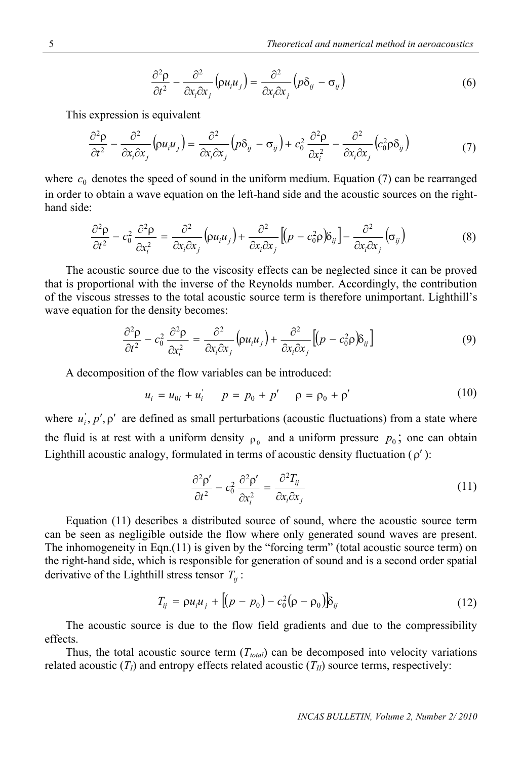$$
\frac{\partial^2 \rho}{\partial t^2} - \frac{\partial^2}{\partial x_i \partial x_j} \left( \rho u_i u_j \right) = \frac{\partial^2}{\partial x_i \partial x_j} \left( \rho \delta_{ij} - \sigma_{ij} \right)
$$
(6)

This expression is equivalent

$$
\frac{\partial^2 \rho}{\partial t^2} - \frac{\partial^2}{\partial x_i \partial x_j} \left( \rho u_i u_j \right) = \frac{\partial^2}{\partial x_i \partial x_j} \left( \rho \delta_{ij} - \sigma_{ij} \right) + c_0^2 \frac{\partial^2 \rho}{\partial x_i^2} - \frac{\partial^2}{\partial x_i \partial x_j} \left( c_0^2 \rho \delta_{ij} \right) \tag{7}
$$

where  $c_0$  denotes the speed of sound in the uniform medium. Equation (7) can be rearranged in order to obtain a wave equation on the left-hand side and the acoustic sources on the righthand side:

$$
\frac{\partial^2 \rho}{\partial t^2} - c_0^2 \frac{\partial^2 \rho}{\partial x_i^2} = \frac{\partial^2}{\partial x_i \partial x_j} \left( \rho u_i u_j \right) + \frac{\partial^2}{\partial x_i \partial x_j} \left[ \left( p - c_0^2 \rho \right) \delta_{ij} \right] - \frac{\partial^2}{\partial x_i \partial x_j} \left( \sigma_{ij} \right)
$$
(8)

The acoustic source due to the viscosity effects can be neglected since it can be proved that is proportional with the inverse of the Reynolds number. Accordingly, the contribution of the viscous stresses to the total acoustic source term is therefore unimportant. Lighthill's wave equation for the density becomes:

$$
\frac{\partial^2 \rho}{\partial t^2} - c_0^2 \frac{\partial^2 \rho}{\partial x_i^2} = \frac{\partial^2}{\partial x_i \partial x_j} \left( \rho u_i u_j \right) + \frac{\partial^2}{\partial x_i \partial x_j} \left[ \left( p - c_0^2 \rho \right) \delta_{ij} \right] \tag{9}
$$

A decomposition of the flow variables can be introduced:

$$
u_i = u_{0i} + u'_i \qquad p = p_0 + p' \qquad p = p_0 + p' \tag{10}
$$

where  $u_i$ ,  $p'$ ,  $\rho'$  are defined as small perturbations (acoustic fluctuations) from a state where the fluid is at rest with a uniform density  $\rho_0$  and a uniform pressure  $p_0$ ; one can obtain Lighthill acoustic analogy, formulated in terms of acoustic density fluctuation  $(\rho')$ :

$$
\frac{\partial^2 \rho'}{\partial t^2} - c_0^2 \frac{\partial^2 \rho'}{\partial x_i^2} = \frac{\partial^2 T_{ij}}{\partial x_i \partial x_j}
$$
(11)

Equation (11) describes a distributed source of sound, where the acoustic source term can be seen as negligible outside the flow where only generated sound waves are present. The inhomogeneity in Eqn.(11) is given by the "forcing term" (total acoustic source term) on the right-hand side, which is responsible for generation of sound and is a second order spatial derivative of the Lighthill stress tensor  $T_{ii}$ :

$$
T_{ij} = \rho u_i u_j + [(p - p_0) - c_0^2 (\rho - \rho_0)] \delta_{ij}
$$
 (12)

The acoustic source is due to the flow field gradients and due to the compressibility effects.

Thus, the total acoustic source term  $(T_{total})$  can be decomposed into velocity variations related acoustic  $(T_I)$  and entropy effects related acoustic  $(T_{II})$  source terms, respectively: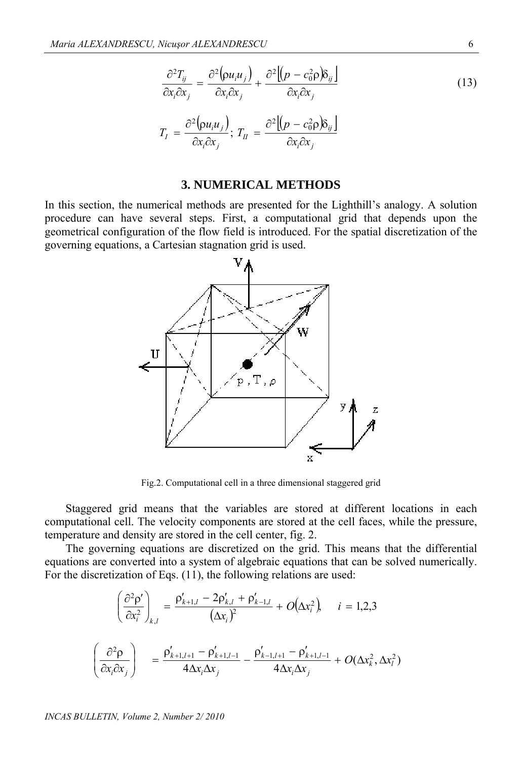$$
\frac{\partial^2 T_{ij}}{\partial x_i \partial x_j} = \frac{\partial^2 (\rho u_i u_j)}{\partial x_i \partial x_j} + \frac{\partial^2 [(\rho - c_0^2 \rho) \delta_{ij}]}{\partial x_i \partial x_j}
$$
\n
$$
T_I = \frac{\partial^2 (\rho u_i u_j)}{\partial x_i \partial x_j}; \ T_{II} = \frac{\partial^2 [(\rho - c_0^2 \rho) \delta_{ij}]}{\partial x_i \partial x_j}
$$
\n(13)

#### **3. NUMERICAL METHODS**

In this section, the numerical methods are presented for the Lighthill's analogy. A solution procedure can have several steps. First, a computational grid that depends upon the geometrical configuration of the flow field is introduced. For the spatial discretization of the governing equations, a Cartesian stagnation grid is used.



Fig.2. Computational cell in a three dimensional staggered grid

Staggered grid means that the variables are stored at different locations in each computational cell. The velocity components are stored at the cell faces, while the pressure, temperature and density are stored in the cell center, fig. 2.

The governing equations are discretized on the grid. This means that the differential equations are converted into a system of algebraic equations that can be solved numerically. For the discretization of Eqs. (11), the following relations are used:

$$
\left(\frac{\partial^2 \rho'}{\partial x_i^2}\right)_{k,l} = \frac{\rho'_{k+1,l} - 2\rho'_{k,l} + \rho'_{k-1,l}}{(\Delta x_i)^2} + O(\Delta x_i^2), \quad i = 1,2,3
$$
\n
$$
\left(\frac{\partial^2 \rho}{\partial x_i \partial x_j}\right) = \frac{\rho'_{k+1,l+1} - \rho'_{k+1,l-1}}{4\Delta x_i \Delta x_j} - \frac{\rho'_{k-1,l+1} - \rho'_{k+1,l-1}}{4\Delta x_i \Delta x_j} + O(\Delta x_k^2, \Delta x_l^2)
$$

*INCAS BULLETIN, Volume 2, Number 2/ 2010*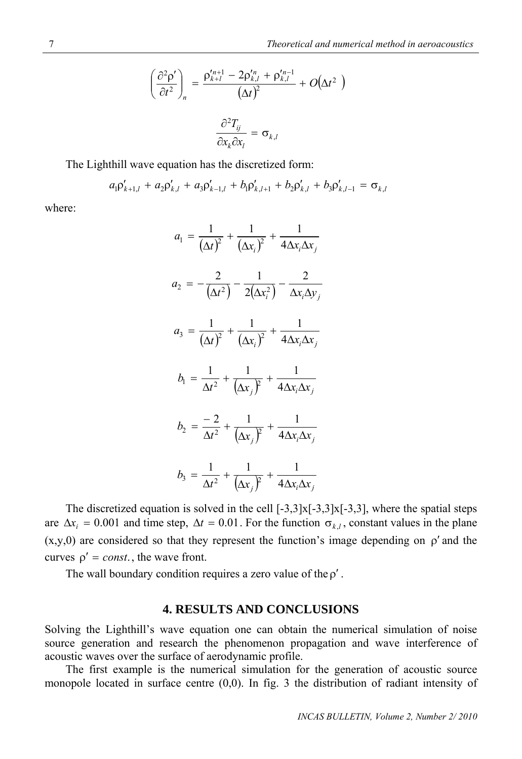$$
\left(\frac{\partial^2 \rho'}{\partial t^2}\right)_n = \frac{\rho_{k+l}^{\prime n+1} - 2\rho_{k,l}^{\prime n} + \rho_{k,l}^{\prime n-1}}{\left(\Delta t\right)^2} + O\left(\Delta t^2\right)
$$

$$
\frac{\partial^2 T_{ij}}{\partial x_k \partial x_l} = \sigma_{k,l}
$$

The Lighthill wave equation has the discretized form:

$$
a_1 \rho'_{k+1,l} + a_2 \rho'_{k,l} + a_3 \rho'_{k-1,l} + b_1 \rho'_{k,l+1} + b_2 \rho'_{k,l} + b_3 \rho'_{k,l-1} = \sigma_{k,l}
$$

where:

$$
a_1 = \frac{1}{(\Delta t)^2} + \frac{1}{(\Delta x_i)^2} + \frac{1}{4\Delta x_i \Delta x_j}
$$
  
\n
$$
a_2 = -\frac{2}{(\Delta t^2)} - \frac{1}{2(\Delta x_i^2)} - \frac{2}{\Delta x_i \Delta y_j}
$$
  
\n
$$
a_3 = \frac{1}{(\Delta t)^2} + \frac{1}{(\Delta x_i)^2} + \frac{1}{4\Delta x_i \Delta x_j}
$$
  
\n
$$
b_1 = \frac{1}{\Delta t^2} + \frac{1}{(\Delta x_j)^2} + \frac{1}{4\Delta x_i \Delta x_j}
$$
  
\n
$$
b_2 = \frac{-2}{\Delta t^2} + \frac{1}{(\Delta x_j)^2} + \frac{1}{4\Delta x_i \Delta x_j}
$$
  
\n
$$
b_3 = \frac{1}{\Delta t^2} + \frac{1}{(\Delta x_j)^2} + \frac{1}{4\Delta x_i \Delta x_j}
$$

The discretized equation is solved in the cell  $[-3,3]x[-3,3]x[-3,3]$ , where the spatial steps are  $\Delta x_i = 0.001$  and time step,  $\Delta t = 0.01$ . For the function  $\sigma_{k,l}$ , constant values in the plane  $(x,y,0)$  are considered so that they represent the function's image depending on  $\rho'$  and the curves  $\rho' = const.$ , the wave front.

The wall boundary condition requires a zero value of the  $\rho'$ .

### **4. RESULTS AND CONCLUSIONS**

Solving the Lighthill's wave equation one can obtain the numerical simulation of noise source generation and research the phenomenon propagation and wave interference of acoustic waves over the surface of aerodynamic profile.

The first example is the numerical simulation for the generation of acoustic source monopole located in surface centre (0,0). In fig. 3 the distribution of radiant intensity of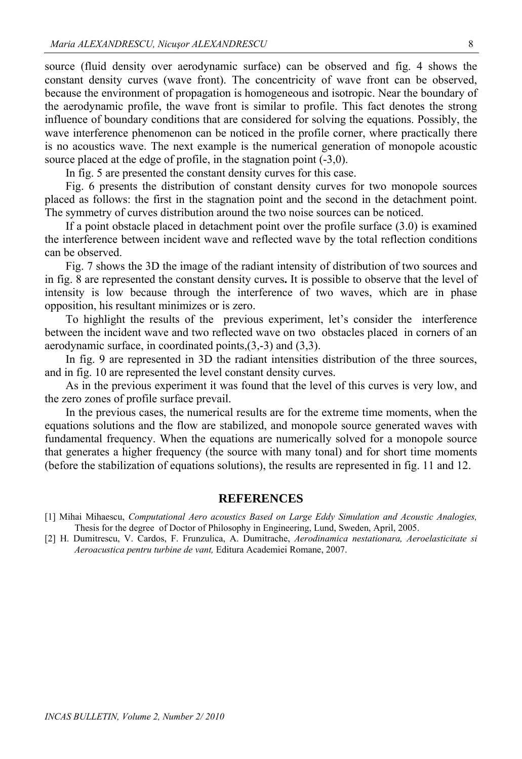source (fluid density over aerodynamic surface) can be observed and fig. 4 shows the constant density curves (wave front). The concentricity of wave front can be observed, because the environment of propagation is homogeneous and isotropic. Near the boundary of the aerodynamic profile, the wave front is similar to profile. This fact denotes the strong influence of boundary conditions that are considered for solving the equations. Possibly, the wave interference phenomenon can be noticed in the profile corner, where practically there is no acoustics wave. The next example is the numerical generation of monopole acoustic source placed at the edge of profile, in the stagnation point (-3,0).

In fig. 5 are presented the constant density curves for this case.

Fig. 6 presents the distribution of constant density curves for two monopole sources placed as follows: the first in the stagnation point and the second in the detachment point. The symmetry of curves distribution around the two noise sources can be noticed.

If a point obstacle placed in detachment point over the profile surface (3.0) is examined the interference between incident wave and reflected wave by the total reflection conditions can be observed.

Fig. 7 shows the 3D the image of the radiant intensity of distribution of two sources and in fig. 8 are represented the constant density curves**.** It is possible to observe that the level of intensity is low because through the interference of two waves, which are in phase opposition, his resultant minimizes or is zero.

To highlight the results of the previous experiment, let's consider the interference between the incident wave and two reflected wave on two obstacles placed in corners of an aerodynamic surface, in coordinated points,(3,-3) and (3,3).

In fig. 9 are represented in 3D the radiant intensities distribution of the three sources, and in fig. 10 are represented the level constant density curves.

As in the previous experiment it was found that the level of this curves is very low, and the zero zones of profile surface prevail.

In the previous cases, the numerical results are for the extreme time moments, when the equations solutions and the flow are stabilized, and monopole source generated waves with fundamental frequency. When the equations are numerically solved for a monopole source that generates a higher frequency (the source with many tonal) and for short time moments (before the stabilization of equations solutions), the results are represented in fig. 11 and 12.

#### **REFERENCES**

<sup>[1]</sup> Mihai Mihaescu, *Computational Aero acoustics Based on Large Eddy Simulation and Acoustic Analogies,* Thesis for the degree of Doctor of Philosophy in Engineering, Lund, Sweden, April, 2005.

<sup>[2]</sup> H. Dumitrescu, V. Cardos, F. Frunzulica, A. Dumitrache, *Aerodinamica nestationara, Aeroelasticitate si Aeroacustica pentru turbine de vant,* Editura Academiei Romane, 2007.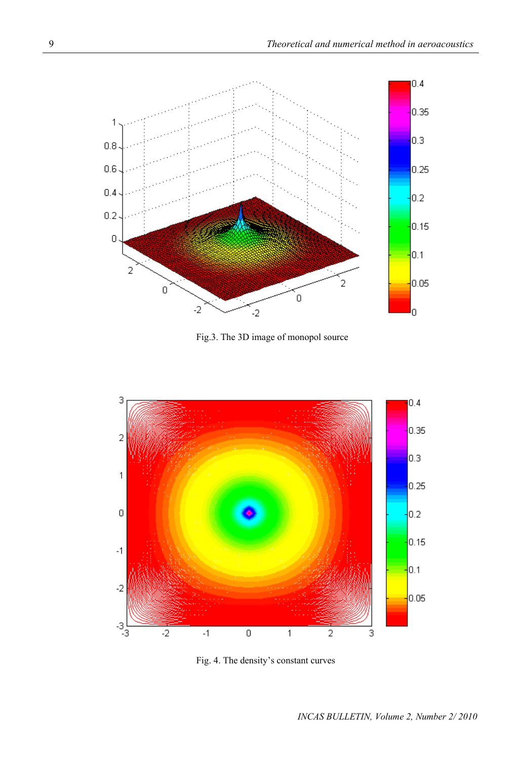

Fig.3. The 3D image of monopol source



Fig. 4. The density's constant curves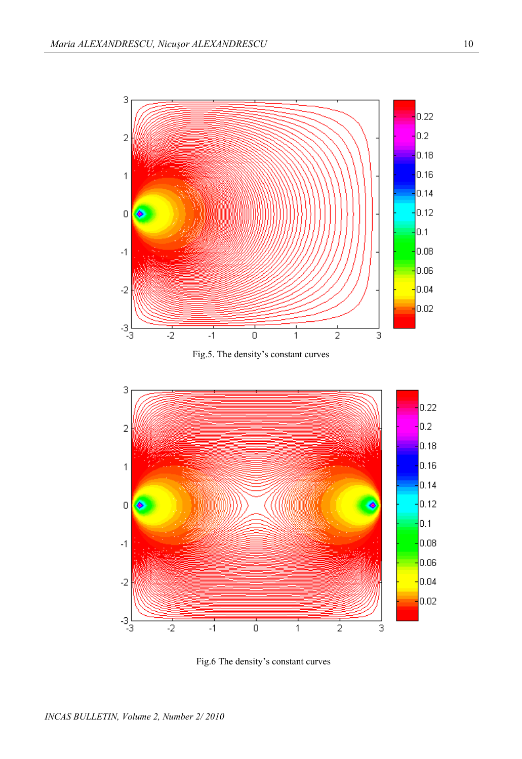

Fig.5. The density's constant curves



Fig.6 The density's constant curves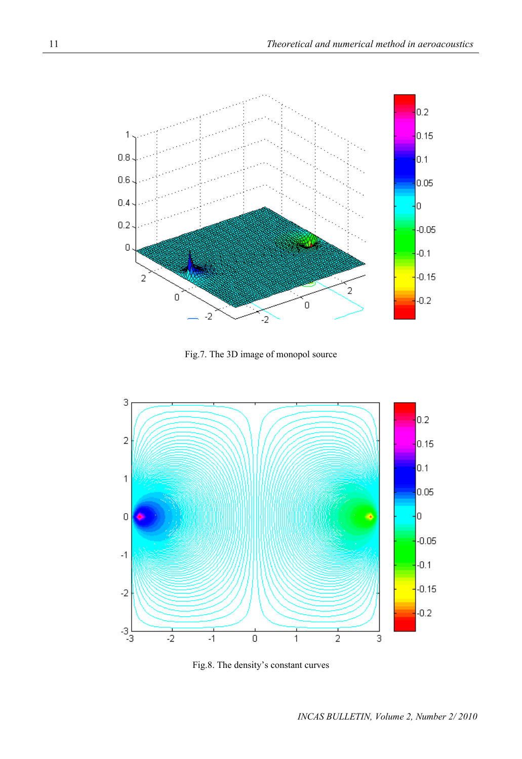

Fig.7. The 3D image of monopol source



Fig.8. The density's constant curves

*INCAS BULLETIN, Volume 2, Number 2/ 2010*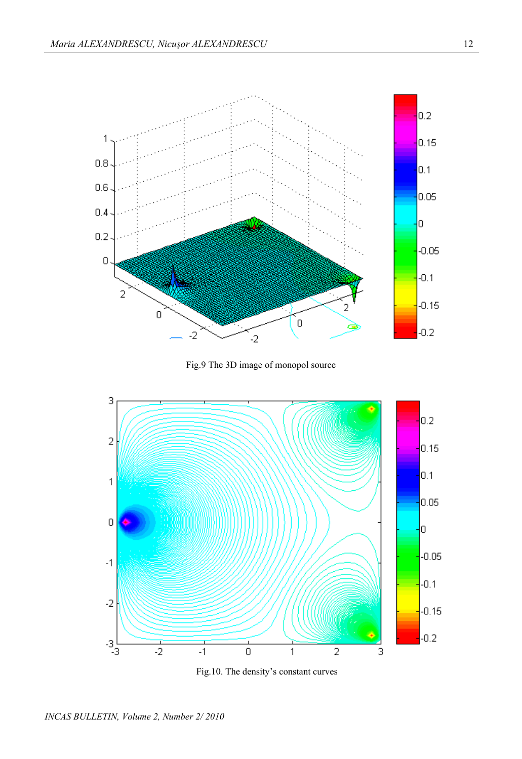

Fig.9 The 3D image of monopol source



Fig.10. The density's constant curves